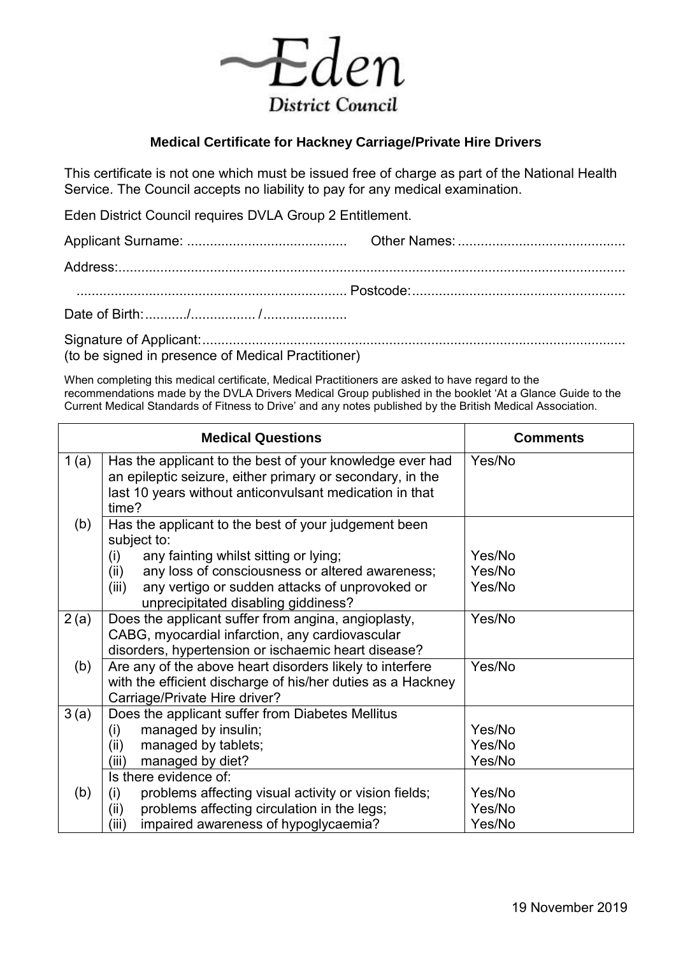

## **Medical Certificate for Hackney Carriage/Private Hire Drivers**

This certificate is not one which must be issued free of charge as part of the National Health Service. The Council accepts no liability to pay for any medical examination.

Eden District Council requires DVLA Group 2 Entitlement.

Signature of Applicant: ............................................................................................................... (to be signed in presence of Medical Practitioner)

When completing this medical certificate, Medical Practitioners are asked to have regard to the recommendations made by the DVLA Drivers Medical Group published in the booklet 'At a Glance Guide to the Current Medical Standards of Fitness to Drive' and any notes published by the British Medical Association.

|      | <b>Medical Questions</b>                                                                                                                                                                  | <b>Comments</b> |
|------|-------------------------------------------------------------------------------------------------------------------------------------------------------------------------------------------|-----------------|
| 1(a) | Has the applicant to the best of your knowledge ever had<br>an epileptic seizure, either primary or secondary, in the<br>last 10 years without anticonvulsant medication in that<br>time? | Yes/No          |
| (b)  | Has the applicant to the best of your judgement been<br>subject to:                                                                                                                       |                 |
|      | any fainting whilst sitting or lying;<br>(i)                                                                                                                                              | Yes/No          |
|      | any loss of consciousness or altered awareness;<br>(ii)                                                                                                                                   | Yes/No          |
|      | any vertigo or sudden attacks of unprovoked or<br>(iii)<br>unprecipitated disabling giddiness?                                                                                            | Yes/No          |
| 2(a) | Does the applicant suffer from angina, angioplasty,                                                                                                                                       | Yes/No          |
|      | CABG, myocardial infarction, any cardiovascular                                                                                                                                           |                 |
|      | disorders, hypertension or ischaemic heart disease?                                                                                                                                       |                 |
| (b)  | Are any of the above heart disorders likely to interfere<br>with the efficient discharge of his/her duties as a Hackney<br>Carriage/Private Hire driver?                                  | Yes/No          |
| 3(a) | Does the applicant suffer from Diabetes Mellitus                                                                                                                                          |                 |
|      | managed by insulin;<br>(i)                                                                                                                                                                | Yes/No          |
|      | managed by tablets;<br>(ii)                                                                                                                                                               | Yes/No          |
|      | managed by diet?<br>(iii)                                                                                                                                                                 | Yes/No          |
|      | Is there evidence of:                                                                                                                                                                     |                 |
| (b)  | problems affecting visual activity or vision fields;<br>(i)                                                                                                                               | Yes/No          |
|      | problems affecting circulation in the legs;<br>(ii)                                                                                                                                       | Yes/No          |
|      | impaired awareness of hypoglycaemia?<br>(iii)                                                                                                                                             | Yes/No          |